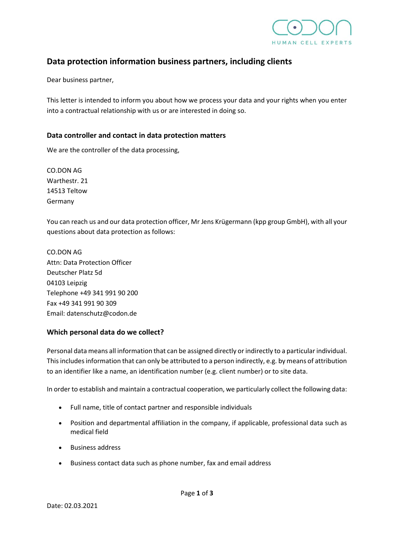

# **Data protection information business partners, including clients**

Dear business partner,

This letter is intended to inform you about how we process your data and your rights when you enter into a contractual relationship with us or are interested in doing so.

## **Data controller and contact in data protection matters**

We are the controller of the data processing,

CO.DON AG Warthestr. 21 14513 Teltow Germany

You can reach us and our data protection officer, Mr Jens Krügermann (kpp group GmbH), with all your questions about data protection as follows:

CO.DON AG Attn: Data Protection Officer Deutscher Platz 5d 04103 Leipzig Telephone +49 341 991 90 200 Fax +49 341 991 90 309 Email: datenschutz@codon.de

# **Which personal data do we collect?**

Personal data means all information that can be assigned directly or indirectly to a particular individual. This includes information that can only be attributed to a person indirectly, e.g. by means of attribution to an identifier like a name, an identification number (e.g. client number) or to site data.

In order to establish and maintain a contractual cooperation, we particularly collect the following data:

- Full name, title of contact partner and responsible individuals
- Position and departmental affiliation in the company, if applicable, professional data such as medical field
- Business address
- Business contact data such as phone number, fax and email address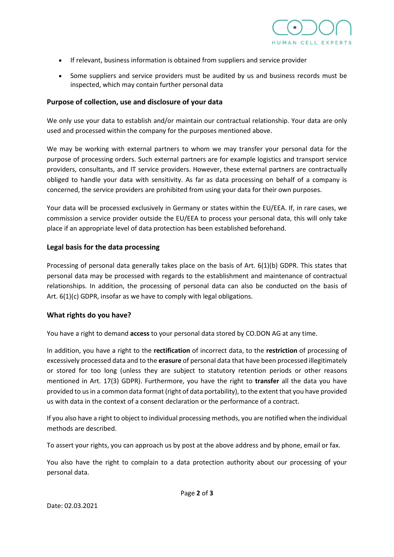

- If relevant, business information is obtained from suppliers and service provider
- Some suppliers and service providers must be audited by us and business records must be inspected, which may contain further personal data

#### **Purpose of collection, use and disclosure of your data**

We only use your data to establish and/or maintain our contractual relationship. Your data are only used and processed within the company for the purposes mentioned above.

We may be working with external partners to whom we may transfer your personal data for the purpose of processing orders. Such external partners are for example logistics and transport service providers, consultants, and IT service providers. However, these external partners are contractually obliged to handle your data with sensitivity. As far as data processing on behalf of a company is concerned, the service providers are prohibited from using your data for their own purposes.

Your data will be processed exclusively in Germany or states within the EU/EEA. If, in rare cases, we commission a service provider outside the EU/EEA to process your personal data, this will only take place if an appropriate level of data protection has been established beforehand.

### **Legal basis for the data processing**

Processing of personal data generally takes place on the basis of Art. 6(1)(b) GDPR. This states that personal data may be processed with regards to the establishment and maintenance of contractual relationships. In addition, the processing of personal data can also be conducted on the basis of Art. 6(1)(c) GDPR, insofar as we have to comply with legal obligations.

#### **What rights do you have?**

You have a right to demand **access** to your personal data stored by CO.DON AG at any time.

In addition, you have a right to the **rectification** of incorrect data, to the **restriction** of processing of excessively processed data and to the **erasure** of personal data that have been processed illegitimately or stored for too long (unless they are subject to statutory retention periods or other reasons mentioned in Art. 17(3) GDPR). Furthermore, you have the right to **transfer** all the data you have provided to us in a common data format (right of data portability), to the extent that you have provided us with data in the context of a consent declaration or the performance of a contract.

If you also have a right to object to individual processing methods, you are notified when the individual methods are described.

To assert your rights, you can approach us by post at the above address and by phone, email or fax.

You also have the right to complain to a data protection authority about our processing of your personal data.